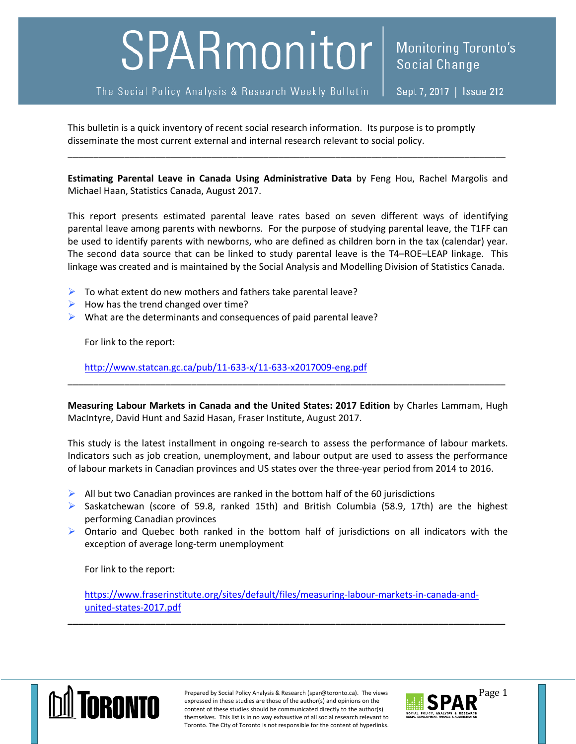## SPARmonitor

The Social Policy Analysis & Research Weekly Bulletin

This bulletin is a quick inventory of recent social research information. Its purpose is to promptly disseminate the most current external and internal research relevant to social policy.

**Estimating Parental Leave in Canada Using Administrative Data** by Feng Hou, Rachel Margolis and Michael Haan, Statistics Canada, August 2017.

\_\_\_\_\_\_\_\_\_\_\_\_\_\_\_\_\_\_\_\_\_\_\_\_\_\_\_\_\_\_\_\_\_\_\_\_\_\_\_\_\_\_\_\_\_\_\_\_\_\_\_\_\_\_\_\_\_\_\_\_\_\_\_\_\_\_\_\_\_\_\_\_\_\_\_\_\_\_\_\_\_\_\_\_\_

This report presents estimated parental leave rates based on seven different ways of identifying parental leave among parents with newborns. For the purpose of studying parental leave, the T1FF can be used to identify parents with newborns, who are defined as children born in the tax (calendar) year. The second data source that can be linked to study parental leave is the T4–ROE–LEAP linkage. This linkage was created and is maintained by the Social Analysis and Modelling Division of Statistics Canada.

- $\triangleright$  To what extent do new mothers and fathers take parental leave?
- $\triangleright$  How has the trend changed over time?
- $\triangleright$  What are the determinants and consequences of paid parental leave?

For link to the report:

<http://www.statcan.gc.ca/pub/11-633-x/11-633-x2017009-eng.pdf>

**Measuring Labour Markets in Canada and the United States: 2017 Edition** by Charles Lammam, Hugh MacIntyre, David Hunt and Sazid Hasan, Fraser Institute, August 2017.

\_\_\_\_\_\_\_\_\_\_\_\_\_\_\_\_\_\_\_\_\_\_\_\_\_\_\_\_\_\_\_\_\_\_\_\_\_\_\_\_\_\_\_\_\_\_\_\_\_\_\_\_\_\_\_\_\_\_\_\_\_\_\_\_\_\_\_\_\_\_\_\_\_\_\_\_\_\_\_\_\_\_\_\_\_

This study is the latest installment in ongoing re-search to assess the performance of labour markets. Indicators such as job creation, unemployment, and labour output are used to assess the performance of labour markets in Canadian provinces and US states over the three-year period from 2014 to 2016.

- $\triangleright$  All but two Canadian provinces are ranked in the bottom half of the 60 jurisdictions
- Saskatchewan (score of 59.8, ranked 15th) and British Columbia (58.9, 17th) are the highest performing Canadian provinces
- $\triangleright$  Ontario and Quebec both ranked in the bottom half of jurisdictions on all indicators with the exception of average long-term unemployment

For link to the report:

[https://www.fraserinstitute.org/sites/default/files/measuring-labour-markets-in-canada-and](https://www.fraserinstitute.org/sites/default/files/measuring-labour-markets-in-canada-and-united-states-2017.pdf)[united-states-2017.pdf](https://www.fraserinstitute.org/sites/default/files/measuring-labour-markets-in-canada-and-united-states-2017.pdf)

**\_\_\_\_\_\_\_\_\_\_\_\_\_\_\_\_\_\_\_\_\_\_\_\_\_\_\_\_\_\_\_\_\_\_\_\_\_\_\_\_\_\_\_\_\_\_\_\_\_\_\_\_\_\_\_\_\_\_\_\_\_\_\_\_\_\_\_\_\_\_\_\_\_\_\_\_\_\_\_\_\_\_\_\_\_**



Prepared by Social Policy Analysis & Research (spar@toronto.ca). The views Page 1 expressed in these studies are those of the author(s) and opinions on the content of these studies should be communicated directly to the author(s) themselves. This list is in no way exhaustive of all social research relevant to Toronto. The City of Toronto is not responsible for the content of hyperlinks.

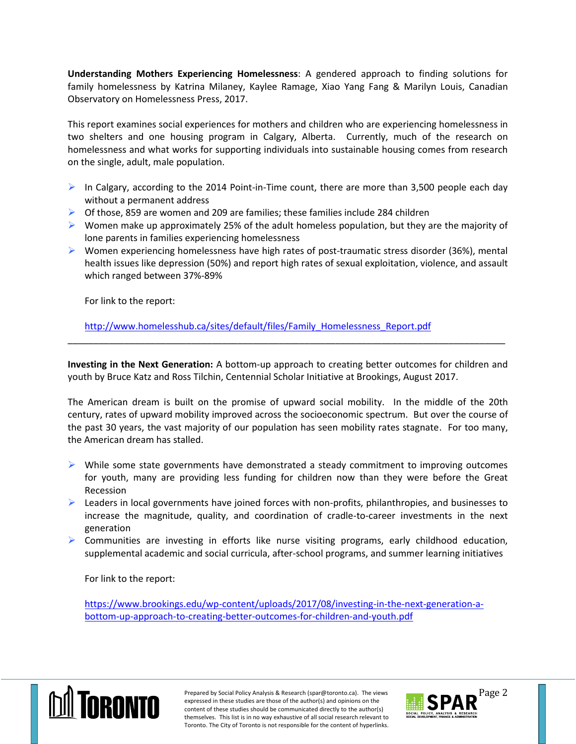**Understanding Mothers Experiencing Homelessness**: A gendered approach to finding solutions for family homelessness by Katrina Milaney, Kaylee Ramage, Xiao Yang Fang & Marilyn Louis, Canadian Observatory on Homelessness Press, 2017.

This report examines social experiences for mothers and children who are experiencing homelessness in two shelters and one housing program in Calgary, Alberta. Currently, much of the research on homelessness and what works for supporting individuals into sustainable housing comes from research on the single, adult, male population.

- In Calgary, according to the 2014 Point-in-Time count, there are more than 3,500 people each day without a permanent address
- $\triangleright$  Of those, 859 are women and 209 are families; these families include 284 children
- $\triangleright$  Women make up approximately 25% of the adult homeless population, but they are the majority of lone parents in families experiencing homelessness
- $\triangleright$  Women experiencing homelessness have high rates of post-traumatic stress disorder (36%), mental health issues like depression (50%) and report high rates of sexual exploitation, violence, and assault which ranged between 37%-89%

For link to the report:

[http://www.homelesshub.ca/sites/default/files/Family\\_Homelessness\\_Report.pdf](http://www.homelesshub.ca/sites/default/files/Family_Homelessness_Report.pdf)

**Investing in the Next Generation:** A bottom-up approach to creating better outcomes for children and youth by Bruce Katz and Ross Tilchin, Centennial Scholar Initiative at Brookings, August 2017.

\_\_\_\_\_\_\_\_\_\_\_\_\_\_\_\_\_\_\_\_\_\_\_\_\_\_\_\_\_\_\_\_\_\_\_\_\_\_\_\_\_\_\_\_\_\_\_\_\_\_\_\_\_\_\_\_\_\_\_\_\_\_\_\_\_\_\_\_\_\_\_\_\_\_\_\_\_\_\_\_\_\_\_\_\_

The American dream is built on the promise of upward social mobility. In the middle of the 20th century, rates of upward mobility improved across the socioeconomic spectrum. But over the course of the past 30 years, the vast majority of our population has seen mobility rates stagnate. For too many, the American dream has stalled.

- $\triangleright$  While some state governments have demonstrated a steady commitment to improving outcomes for youth, many are providing less funding for children now than they were before the Great Recession
- $\triangleright$  Leaders in local governments have joined forces with non-profits, philanthropies, and businesses to increase the magnitude, quality, and coordination of cradle-to-career investments in the next generation
- $\triangleright$  Communities are investing in efforts like nurse visiting programs, early childhood education, supplemental academic and social curricula, after-school programs, and summer learning initiatives

For link to the report:

[https://www.brookings.edu/wp-content/uploads/2017/08/investing-in-the-next-generation-a](https://www.brookings.edu/wp-content/uploads/2017/08/investing-in-the-next-generation-a-bottom-up-approach-to-creating-better-outcomes-for-children-and-youth.pdf)[bottom-up-approach-to-creating-better-outcomes-for-children-and-youth.pdf](https://www.brookings.edu/wp-content/uploads/2017/08/investing-in-the-next-generation-a-bottom-up-approach-to-creating-better-outcomes-for-children-and-youth.pdf)